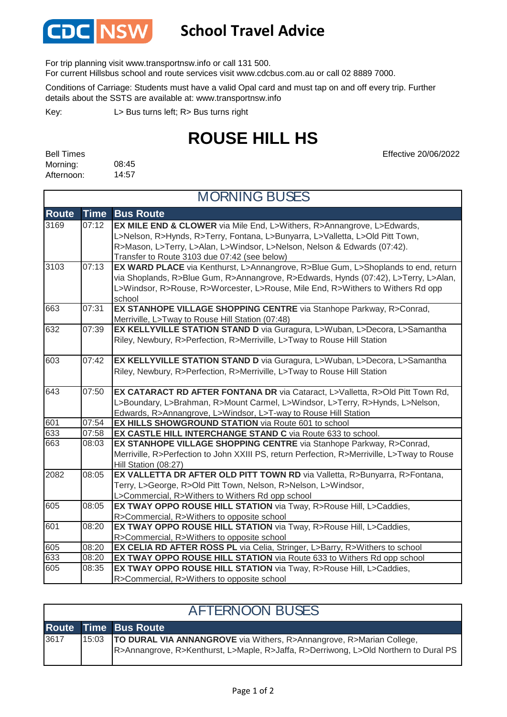

## **School Travel Advice**

For trip planning visit www.transportnsw.info or call 131 500.

For current Hillsbus school and route services visit www.cdcbus.com.au or call 02 8889 7000.

Conditions of Carriage: Students must have a valid Opal card and must tap on and off every trip. Further details about the SSTS are available at: www.transportnsw.info

L> Bus turns left; R> Bus turns right Key:

## **ROUSE HILL HS**

08:45 14:57 Bell Times Morning: Afternoon:

Effective 20/06/2022

| <b>MORNING BUSES</b> |             |                                                                                                                                                                                                                                                                                     |  |  |
|----------------------|-------------|-------------------------------------------------------------------------------------------------------------------------------------------------------------------------------------------------------------------------------------------------------------------------------------|--|--|
| <b>Route</b>         | <b>Time</b> | <b>Bus Route</b>                                                                                                                                                                                                                                                                    |  |  |
| 3169                 | 07:12       | EX MILE END & CLOWER via Mile End, L>Withers, R>Annangrove, L>Edwards,<br>L>Nelson, R>Hynds, R>Terry, Fontana, L>Bunyarra, L>Valletta, L>Old Pitt Town,<br>R>Mason, L>Terry, L>Alan, L>Windsor, L>Nelson, Nelson & Edwards (07:42).<br>Transfer to Route 3103 due 07:42 (see below) |  |  |
| 3103                 | 07:13       | EX WARD PLACE via Kenthurst, L>Annangrove, R>Blue Gum, L>Shoplands to end, return<br>via Shoplands, R>Blue Gum, R>Annangrove, R>Edwards, Hynds (07:42), L>Terry, L>Alan,<br>L>Windsor, R>Rouse, R>Worcester, L>Rouse, Mile End, R>Withers to Withers Rd opp<br>school               |  |  |
| 663                  | 07:31       | EX STANHOPE VILLAGE SHOPPING CENTRE via Stanhope Parkway, R>Conrad,<br>Merriville, L>Tway to Rouse Hill Station (07:48)                                                                                                                                                             |  |  |
| 632                  | 07:39       | EX KELLYVILLE STATION STAND D via Guragura, L>Wuban, L>Decora, L>Samantha<br>Riley, Newbury, R>Perfection, R>Merriville, L>Tway to Rouse Hill Station                                                                                                                               |  |  |
| 603                  | 07:42       | EX KELLYVILLE STATION STAND D via Guragura, L>Wuban, L>Decora, L>Samantha<br>Riley, Newbury, R>Perfection, R>Merriville, L>Tway to Rouse Hill Station                                                                                                                               |  |  |
| 643                  | 07:50       | EX CATARACT RD AFTER FONTANA DR via Cataract, L>Valletta, R>Old Pitt Town Rd,<br>L>Boundary, L>Brahman, R>Mount Carmel, L>Windsor, L>Terry, R>Hynds, L>Nelson,<br>Edwards, R>Annangrove, L>Windsor, L>T-way to Rouse Hill Station                                                   |  |  |
| 601                  | 07:54       | <b>EX HILLS SHOWGROUND STATION via Route 601 to school</b>                                                                                                                                                                                                                          |  |  |
| 633                  | 07:58       | EX CASTLE HILL INTERCHANGE STAND C via Route 633 to school.                                                                                                                                                                                                                         |  |  |
| 663                  | 08:03       | EX STANHOPE VILLAGE SHOPPING CENTRE via Stanhope Parkway, R>Conrad,<br>Merriville, R>Perfection to John XXIII PS, return Perfection, R>Merriville, L>Tway to Rouse<br>Hill Station (08:27)                                                                                          |  |  |
| 2082                 | 08:05       | EX VALLETTA DR AFTER OLD PITT TOWN RD via Valletta, R>Bunyarra, R>Fontana,<br>Terry, L>George, R>Old Pitt Town, Nelson, R>Nelson, L>Windsor,<br>L>Commercial, R>Withers to Withers Rd opp school                                                                                    |  |  |
| 605                  | 08:05       | EX TWAY OPPO ROUSE HILL STATION via Tway, R>Rouse Hill, L>Caddies,<br>R>Commercial, R>Withers to opposite school                                                                                                                                                                    |  |  |
| 601                  | 08:20       | EX TWAY OPPO ROUSE HILL STATION via Tway, R>Rouse Hill, L>Caddies,<br>R>Commercial, R>Withers to opposite school                                                                                                                                                                    |  |  |
| 605                  | 08:20       | EX CELIA RD AFTER ROSS PL via Celia, Stringer, L>Barry, R>Withers to school                                                                                                                                                                                                         |  |  |
| 633                  | 08:20       | EX TWAY OPPO ROUSE HILL STATION via Route 633 to Withers Rd opp school                                                                                                                                                                                                              |  |  |
| 605                  | 08:35       | EX TWAY OPPO ROUSE HILL STATION via Tway, R>Rouse Hill, L>Caddies,<br>R>Commercial, R>Withers to opposite school                                                                                                                                                                    |  |  |

| <b>AFTERNOON BUSES</b> |       |                                                                                                                                                              |  |  |
|------------------------|-------|--------------------------------------------------------------------------------------------------------------------------------------------------------------|--|--|
|                        |       | <b>Route Time Bus Route</b>                                                                                                                                  |  |  |
| 3617                   | 15:03 | TO DURAL VIA ANNANGROVE via Withers, R>Annangrove, R>Marian College,<br>R>Annangrove, R>Kenthurst, L>Maple, R>Jaffa, R>Derriwong, L>Old Northern to Dural PS |  |  |